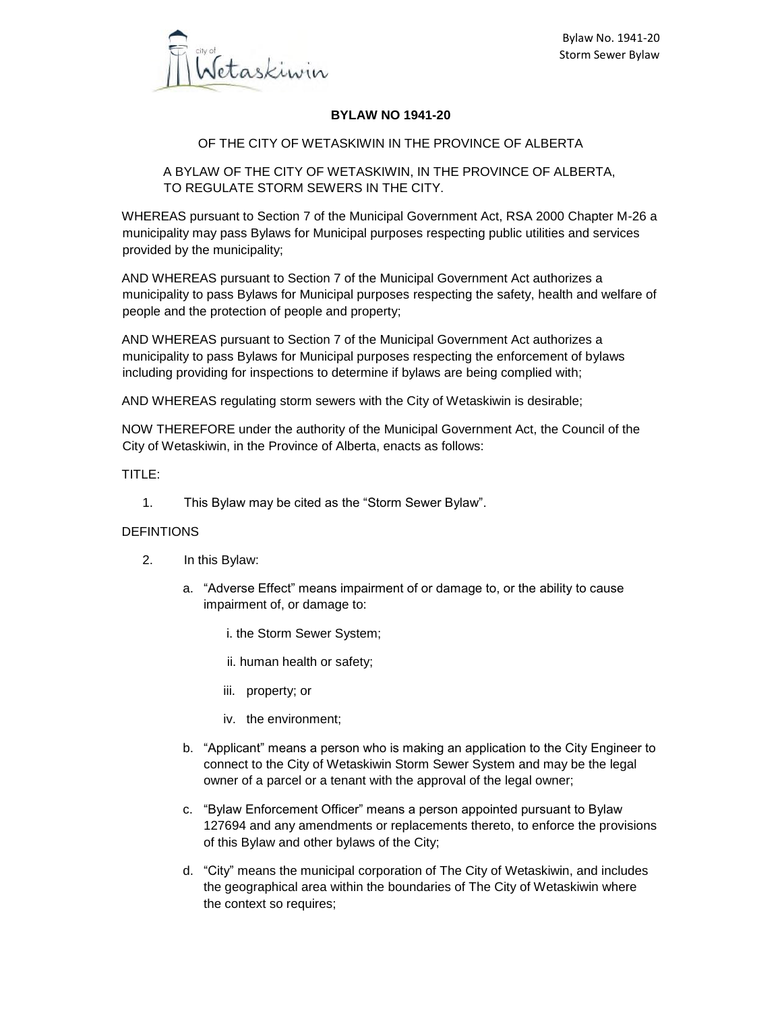

## **BYLAW NO 1941-20**

#### OF THE CITY OF WETASKIWIN IN THE PROVINCE OF ALBERTA

A BYLAW OF THE CITY OF WETASKIWIN, IN THE PROVINCE OF ALBERTA, TO REGULATE STORM SEWERS IN THE CITY.

WHEREAS pursuant to Section 7 of the Municipal Government Act, RSA 2000 Chapter M-26 a municipality may pass Bylaws for Municipal purposes respecting public utilities and services provided by the municipality;

AND WHEREAS pursuant to Section 7 of the Municipal Government Act authorizes a municipality to pass Bylaws for Municipal purposes respecting the safety, health and welfare of people and the protection of people and property;

AND WHEREAS pursuant to Section 7 of the Municipal Government Act authorizes a municipality to pass Bylaws for Municipal purposes respecting the enforcement of bylaws including providing for inspections to determine if bylaws are being complied with;

AND WHEREAS regulating storm sewers with the City of Wetaskiwin is desirable;

NOW THEREFORE under the authority of the Municipal Government Act, the Council of the City of Wetaskiwin, in the Province of Alberta, enacts as follows:

TITLE:

1. This Bylaw may be cited as the "Storm Sewer Bylaw".

#### DEFINTIONS

- 2. In this Bylaw:
	- a. "Adverse Effect" means impairment of or damage to, or the ability to cause impairment of, or damage to:
		- i. the Storm Sewer System;
		- ii. human health or safety;
		- iii. property; or
		- iv. the environment;
	- b. "Applicant" means a person who is making an application to the City Engineer to connect to the City of Wetaskiwin Storm Sewer System and may be the legal owner of a parcel or a tenant with the approval of the legal owner;
	- c. "Bylaw Enforcement Officer" means a person appointed pursuant to Bylaw 127694 and any amendments or replacements thereto, to enforce the provisions of this Bylaw and other bylaws of the City;
	- d. "City" means the municipal corporation of The City of Wetaskiwin, and includes the geographical area within the boundaries of The City of Wetaskiwin where the context so requires;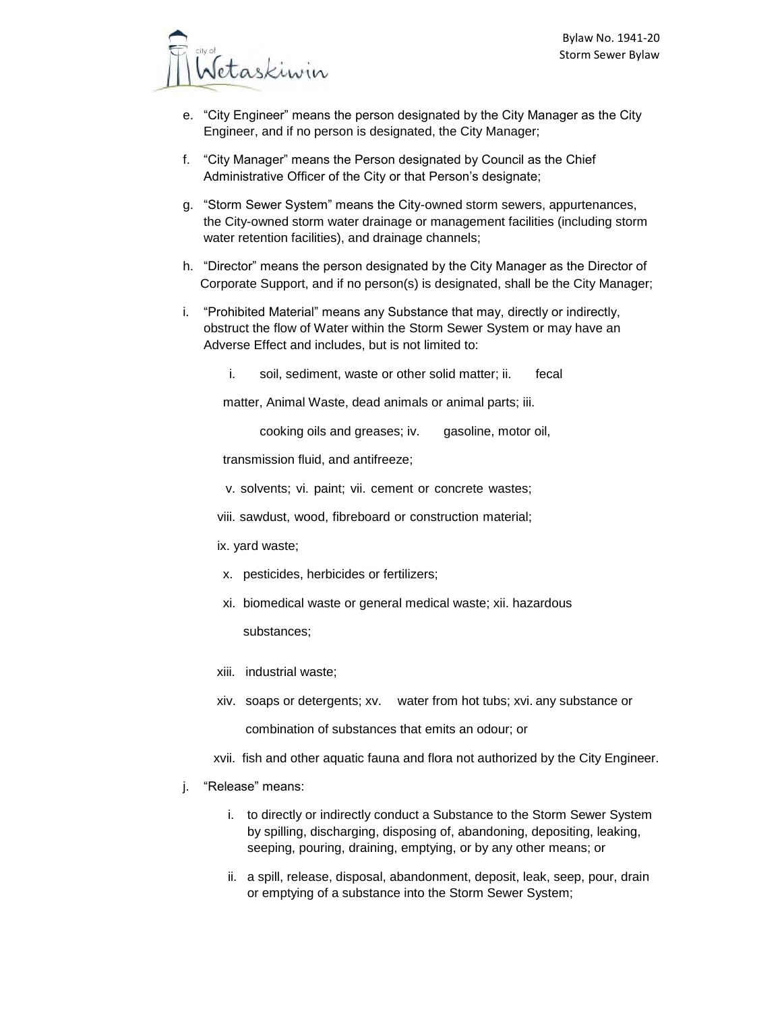

- e. "City Engineer" means the person designated by the City Manager as the City Engineer, and if no person is designated, the City Manager;
- f. "City Manager" means the Person designated by Council as the Chief Administrative Officer of the City or that Person's designate;
- g. "Storm Sewer System" means the City-owned storm sewers, appurtenances, the City-owned storm water drainage or management facilities (including storm water retention facilities), and drainage channels;
- h. "Director" means the person designated by the City Manager as the Director of Corporate Support, and if no person(s) is designated, shall be the City Manager;
- i. "Prohibited Material" means any Substance that may, directly or indirectly, obstruct the flow of Water within the Storm Sewer System or may have an Adverse Effect and includes, but is not limited to:
	- i. soil, sediment, waste or other solid matter; ii. fecal

matter, Animal Waste, dead animals or animal parts; iii.

cooking oils and greases; iv. gasoline, motor oil,

transmission fluid, and antifreeze;

v. solvents; vi. paint; vii. cement or concrete wastes;

viii. sawdust, wood, fibreboard or construction material;

ix. yard waste;

- x. pesticides, herbicides or fertilizers;
- xi. biomedical waste or general medical waste; xii. hazardous

substances;

- xiii. industrial waste;
- xiv. soaps or detergents; xv. water from hot tubs; xvi. any substance or combination of substances that emits an odour; or
- xvii. fish and other aquatic fauna and flora not authorized by the City Engineer.
- j. "Release" means:
	- i. to directly or indirectly conduct a Substance to the Storm Sewer System by spilling, discharging, disposing of, abandoning, depositing, leaking, seeping, pouring, draining, emptying, or by any other means; or
	- ii. a spill, release, disposal, abandonment, deposit, leak, seep, pour, drain or emptying of a substance into the Storm Sewer System;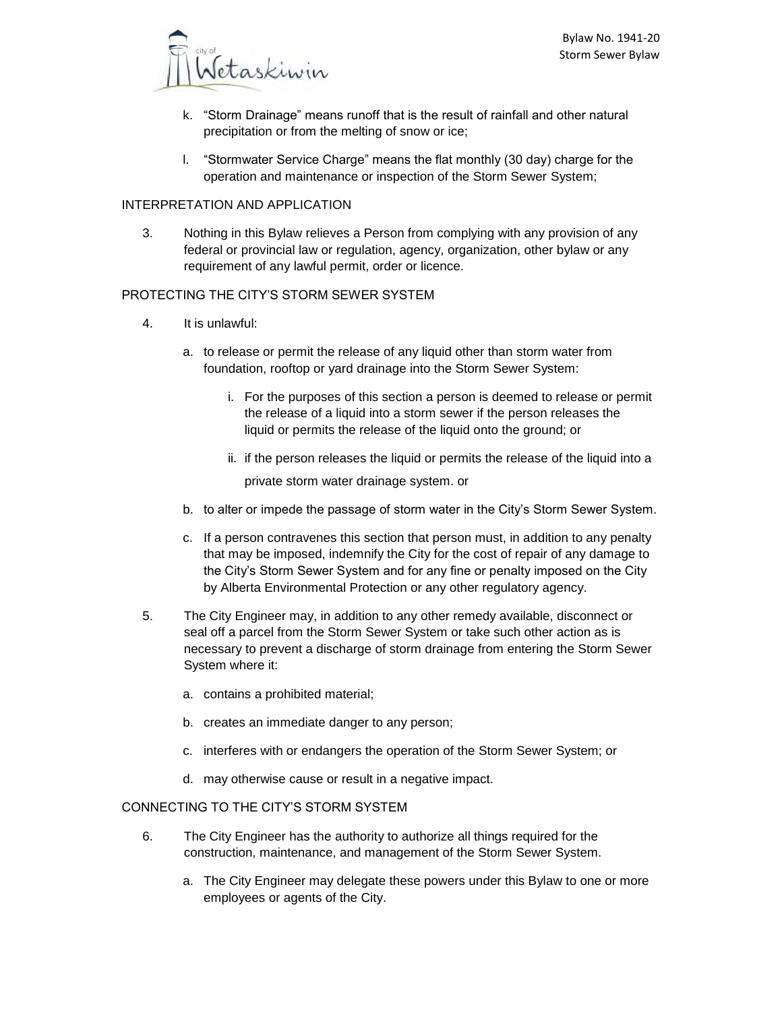

- k. "Storm Drainage" means runoff that is the result of rainfall and other natural precipitation or from the melting of snow or ice;
- l. "Stormwater Service Charge" means the flat monthly (30 day) charge for the operation and maintenance or inspection of the Storm Sewer System;

# INTERPRETATION AND APPLICATION

3. Nothing in this Bylaw relieves a Person from complying with any provision of any federal or provincial law or regulation, agency, organization, other bylaw or any requirement of any lawful permit, order or licence.

## PROTECTING THE CITY'S STORM SEWER SYSTEM

- 4. It is unlawful:
	- a. to release or permit the release of any liquid other than storm water from foundation, rooftop or yard drainage into the Storm Sewer System:
		- i. For the purposes of this section a person is deemed to release or permit the release of a liquid into a storm sewer if the person releases the liquid or permits the release of the liquid onto the ground; or
		- ii. if the person releases the liquid or permits the release of the liquid into a private storm water drainage system. or
	- b. to alter or impede the passage of storm water in the City's Storm Sewer System.
	- c. If a person contravenes this section that person must, in addition to any penalty that may be imposed, indemnify the City for the cost of repair of any damage to the City's Storm Sewer System and for any fine or penalty imposed on the City by Alberta Environmental Protection or any other regulatory agency.
- 5. The City Engineer may, in addition to any other remedy available, disconnect or seal off a parcel from the Storm Sewer System or take such other action as is necessary to prevent a discharge of storm drainage from entering the Storm Sewer System where it:
	- a. contains a prohibited material;
	- b. creates an immediate danger to any person;
	- c. interferes with or endangers the operation of the Storm Sewer System; or
	- d. may otherwise cause or result in a negative impact.

### CONNECTING TO THE CITY'S STORM SYSTEM

- 6. The City Engineer has the authority to authorize all things required for the construction, maintenance, and management of the Storm Sewer System.
	- a. The City Engineer may delegate these powers under this Bylaw to one or more employees or agents of the City.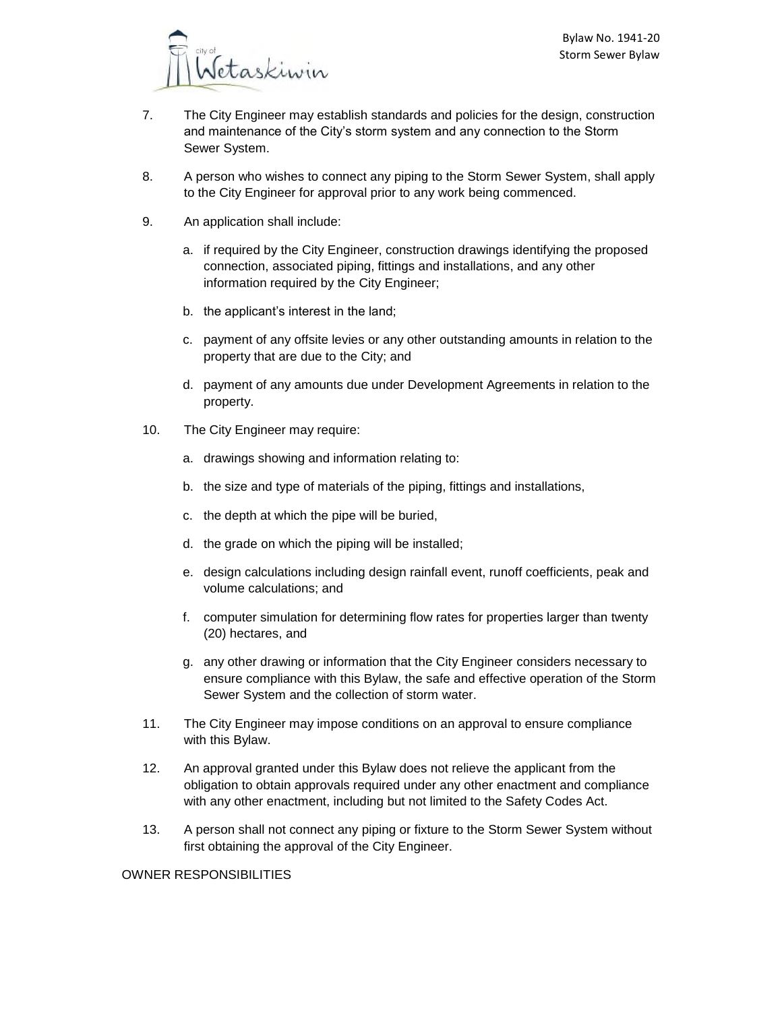

- 7. The City Engineer may establish standards and policies for the design, construction and maintenance of the City's storm system and any connection to the Storm Sewer System.
- 8. A person who wishes to connect any piping to the Storm Sewer System, shall apply to the City Engineer for approval prior to any work being commenced.
- 9. An application shall include:
	- a. if required by the City Engineer, construction drawings identifying the proposed connection, associated piping, fittings and installations, and any other information required by the City Engineer;
	- b. the applicant's interest in the land;
	- c. payment of any offsite levies or any other outstanding amounts in relation to the property that are due to the City; and
	- d. payment of any amounts due under Development Agreements in relation to the property.
- 10. The City Engineer may require:
	- a. drawings showing and information relating to:
	- b. the size and type of materials of the piping, fittings and installations,
	- c. the depth at which the pipe will be buried,
	- d. the grade on which the piping will be installed;
	- e. design calculations including design rainfall event, runoff coefficients, peak and volume calculations; and
	- f. computer simulation for determining flow rates for properties larger than twenty (20) hectares, and
	- g. any other drawing or information that the City Engineer considers necessary to ensure compliance with this Bylaw, the safe and effective operation of the Storm Sewer System and the collection of storm water.
- 11. The City Engineer may impose conditions on an approval to ensure compliance with this Bylaw.
- 12. An approval granted under this Bylaw does not relieve the applicant from the obligation to obtain approvals required under any other enactment and compliance with any other enactment, including but not limited to the Safety Codes Act.
- 13. A person shall not connect any piping or fixture to the Storm Sewer System without first obtaining the approval of the City Engineer.

#### OWNER RESPONSIBILITIES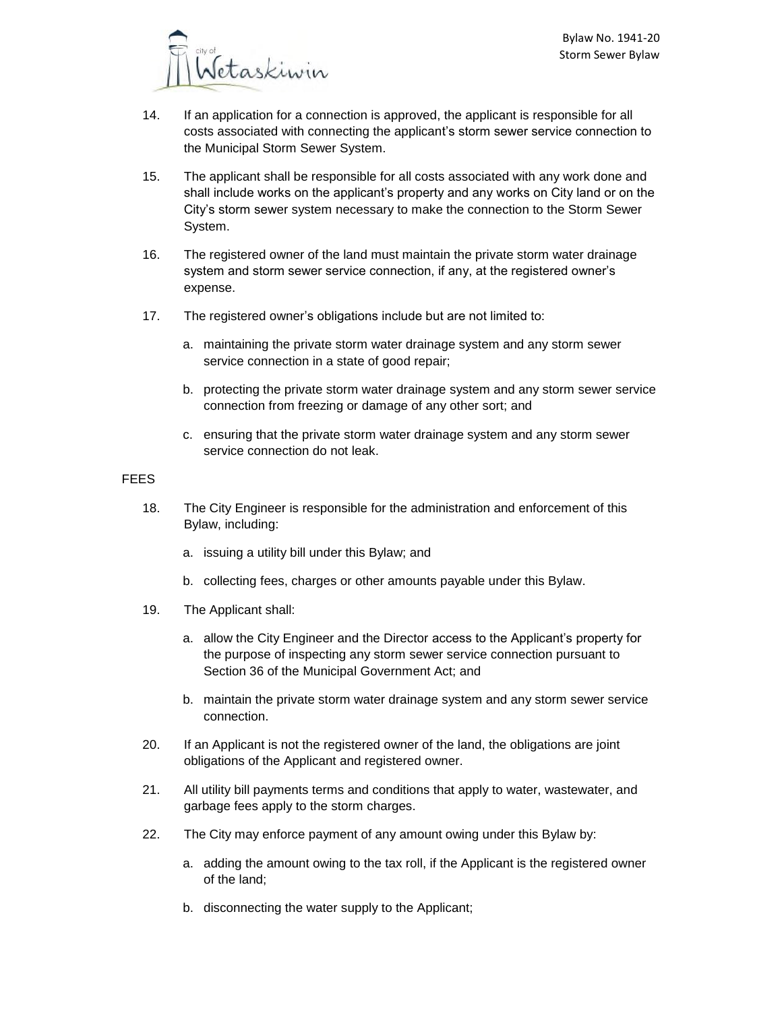

- 14. If an application for a connection is approved, the applicant is responsible for all costs associated with connecting the applicant's storm sewer service connection to the Municipal Storm Sewer System.
- 15. The applicant shall be responsible for all costs associated with any work done and shall include works on the applicant's property and any works on City land or on the City's storm sewer system necessary to make the connection to the Storm Sewer System.
- 16. The registered owner of the land must maintain the private storm water drainage system and storm sewer service connection, if any, at the registered owner's expense.
- 17. The registered owner's obligations include but are not limited to:
	- a. maintaining the private storm water drainage system and any storm sewer service connection in a state of good repair;
	- b. protecting the private storm water drainage system and any storm sewer service connection from freezing or damage of any other sort; and
	- c. ensuring that the private storm water drainage system and any storm sewer service connection do not leak.

#### FEES

- 18. The City Engineer is responsible for the administration and enforcement of this Bylaw, including:
	- a. issuing a utility bill under this Bylaw; and
	- b. collecting fees, charges or other amounts payable under this Bylaw.
- 19. The Applicant shall:
	- a. allow the City Engineer and the Director access to the Applicant's property for the purpose of inspecting any storm sewer service connection pursuant to Section 36 of the Municipal Government Act; and
	- b. maintain the private storm water drainage system and any storm sewer service connection.
- 20. If an Applicant is not the registered owner of the land, the obligations are joint obligations of the Applicant and registered owner.
- 21. All utility bill payments terms and conditions that apply to water, wastewater, and garbage fees apply to the storm charges.
- 22. The City may enforce payment of any amount owing under this Bylaw by:
	- a. adding the amount owing to the tax roll, if the Applicant is the registered owner of the land;
	- b. disconnecting the water supply to the Applicant;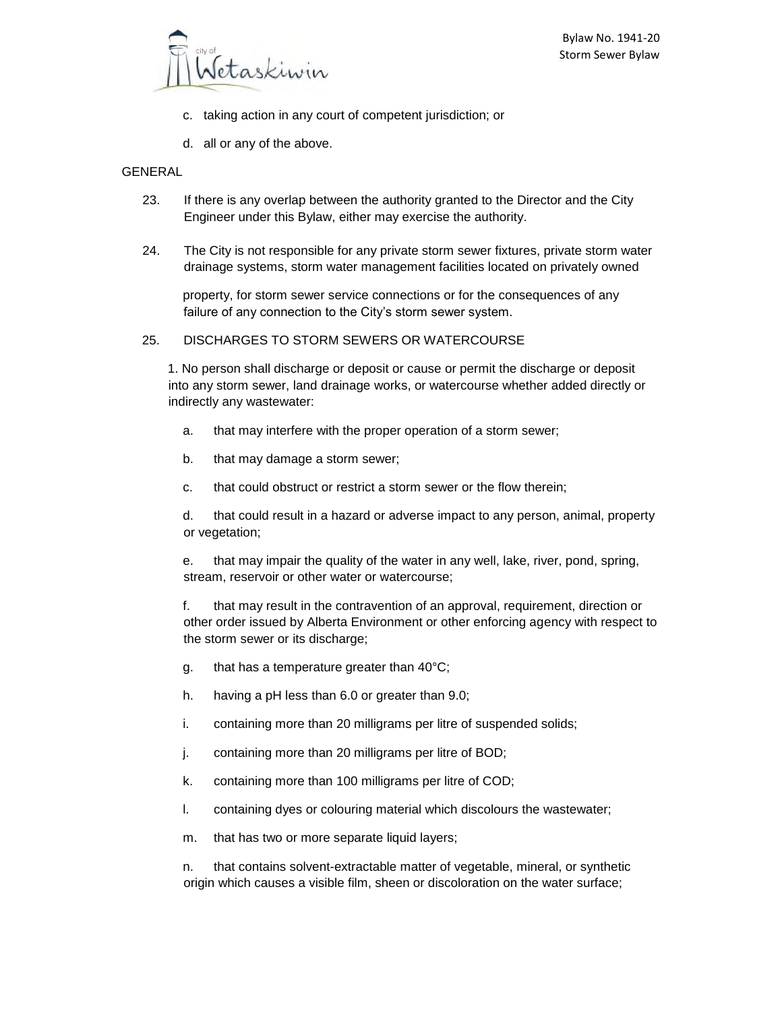

- c. taking action in any court of competent jurisdiction; or
- d. all or any of the above.

#### **GENERAL**

- 23. If there is any overlap between the authority granted to the Director and the City Engineer under this Bylaw, either may exercise the authority.
- 24. The City is not responsible for any private storm sewer fixtures, private storm water drainage systems, storm water management facilities located on privately owned

property, for storm sewer service connections or for the consequences of any failure of any connection to the City's storm sewer system.

#### 25. DISCHARGES TO STORM SEWERS OR WATERCOURSE

1. No person shall discharge or deposit or cause or permit the discharge or deposit into any storm sewer, land drainage works, or watercourse whether added directly or indirectly any wastewater:

- a. that may interfere with the proper operation of a storm sewer;
- b. that may damage a storm sewer;
- c. that could obstruct or restrict a storm sewer or the flow therein;

d. that could result in a hazard or adverse impact to any person, animal, property or vegetation;

e. that may impair the quality of the water in any well, lake, river, pond, spring, stream, reservoir or other water or watercourse;

f. that may result in the contravention of an approval, requirement, direction or other order issued by Alberta Environment or other enforcing agency with respect to the storm sewer or its discharge;

- g. that has a temperature greater than 40°C;
- h. having a pH less than 6.0 or greater than 9.0;
- i. containing more than 20 milligrams per litre of suspended solids;
- j. containing more than 20 milligrams per litre of BOD;
- k. containing more than 100 milligrams per litre of COD;
- l. containing dyes or colouring material which discolours the wastewater;
- m. that has two or more separate liquid layers;

n. that contains solvent-extractable matter of vegetable, mineral, or synthetic origin which causes a visible film, sheen or discoloration on the water surface;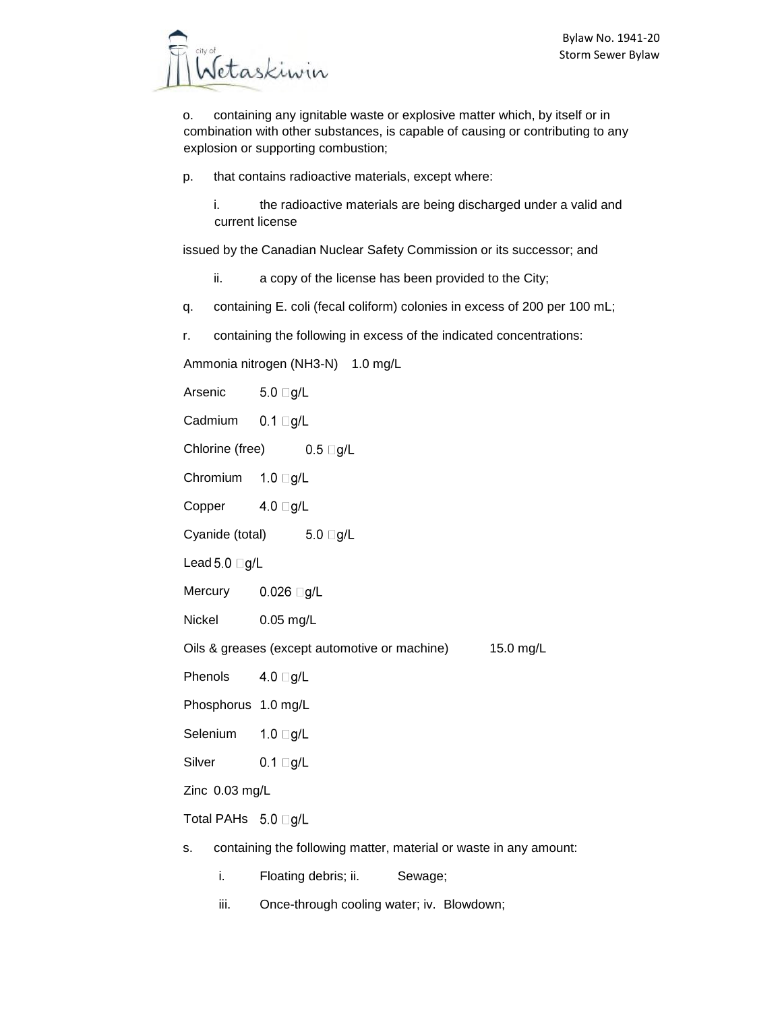o. containing any ignitable waste or explosive matter which, by itself or in combination with other substances, is capable of causing or contributing to any explosion or supporting combustion;

- p. that contains radioactive materials, except where:
	- i. the radioactive materials are being discharged under a valid and current license

issued by the Canadian Nuclear Safety Commission or its successor; and

- ii. a copy of the license has been provided to the City;
- q. containing E. coli (fecal coliform) colonies in excess of 200 per 100 mL;
- r. containing the following in excess of the indicated concentrations:

Ammonia nitrogen (NH3-N) 1.0 mg/L

Arsenic  $5.0 \square g/L$ 

Cadmium  $0.1 \square g/L$ 

Chlorine (free)  $0.5 \square g/L$ 

Chromium  $1.0 \square g/L$ 

Copper 4.0  $\Box$ g/L

Cyanide (total)  $5.0 \square g/L$ 

Lead 5.0  $\Box$ g/L

**Mercury**  $0.026$   $\Box$ g/L

Nickel 0.05 mg/L

Oils & greases (except automotive or machine) 15.0 mg/L

Phenols 4.0  $\Box$ g/L

Phosphorus 1.0 mg/L

Selenium  $1.0$   $\Box$ g/L

Silver  $0.1$  Og/L

Zinc 0.03 mg/L

Total PAHs 5.0 □g/L

- s. containing the following matter, material or waste in any amount:
	- i. Floating debris; ii. Sewage;
	- iii. Once-through cooling water; iv. Blowdown;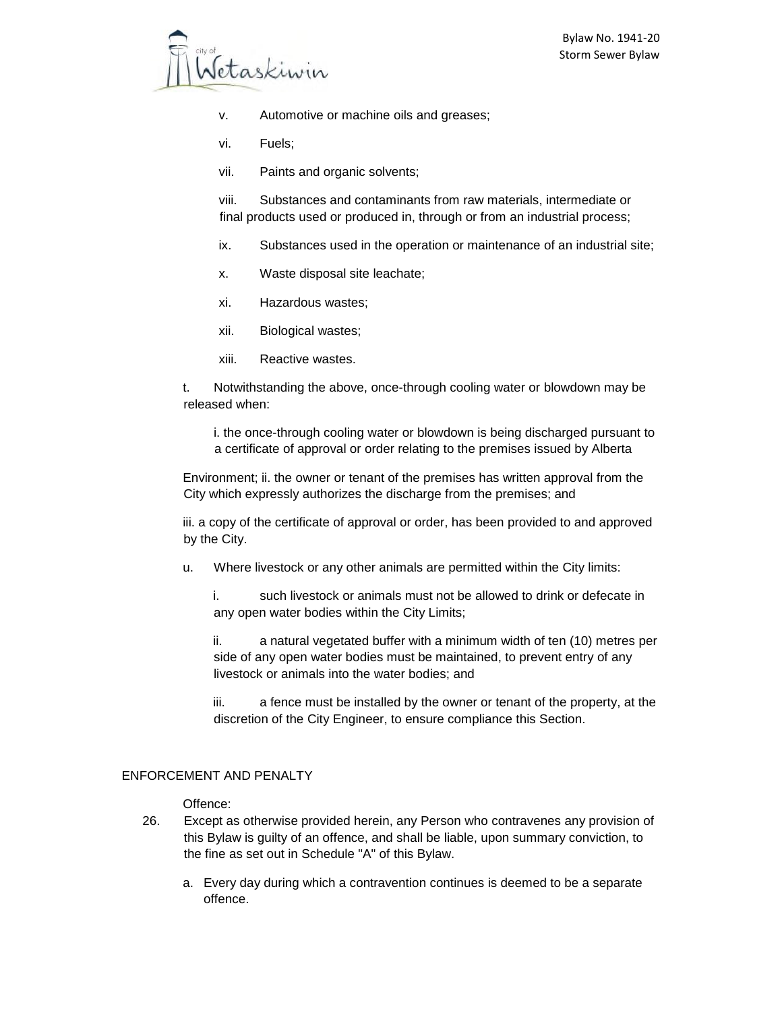

- v. Automotive or machine oils and greases;
- vi. Fuels;
- vii. Paints and organic solvents;

viii. Substances and contaminants from raw materials, intermediate or final products used or produced in, through or from an industrial process;

- ix. Substances used in the operation or maintenance of an industrial site;
- x. Waste disposal site leachate;
- xi. Hazardous wastes;
- xii. Biological wastes;
- xiii. Reactive wastes.

t. Notwithstanding the above, once-through cooling water or blowdown may be released when:

i. the once-through cooling water or blowdown is being discharged pursuant to a certificate of approval or order relating to the premises issued by Alberta

Environment; ii. the owner or tenant of the premises has written approval from the City which expressly authorizes the discharge from the premises; and

iii. a copy of the certificate of approval or order, has been provided to and approved by the City.

u. Where livestock or any other animals are permitted within the City limits:

i. such livestock or animals must not be allowed to drink or defecate in any open water bodies within the City Limits;

ii. a natural vegetated buffer with a minimum width of ten (10) metres per side of any open water bodies must be maintained, to prevent entry of any livestock or animals into the water bodies; and

iii. a fence must be installed by the owner or tenant of the property, at the discretion of the City Engineer, to ensure compliance this Section.

## ENFORCEMENT AND PENALTY

#### Offence:

- 26. Except as otherwise provided herein, any Person who contravenes any provision of this Bylaw is guilty of an offence, and shall be liable, upon summary conviction, to the fine as set out in Schedule "A" of this Bylaw.
	- a. Every day during which a contravention continues is deemed to be a separate offence.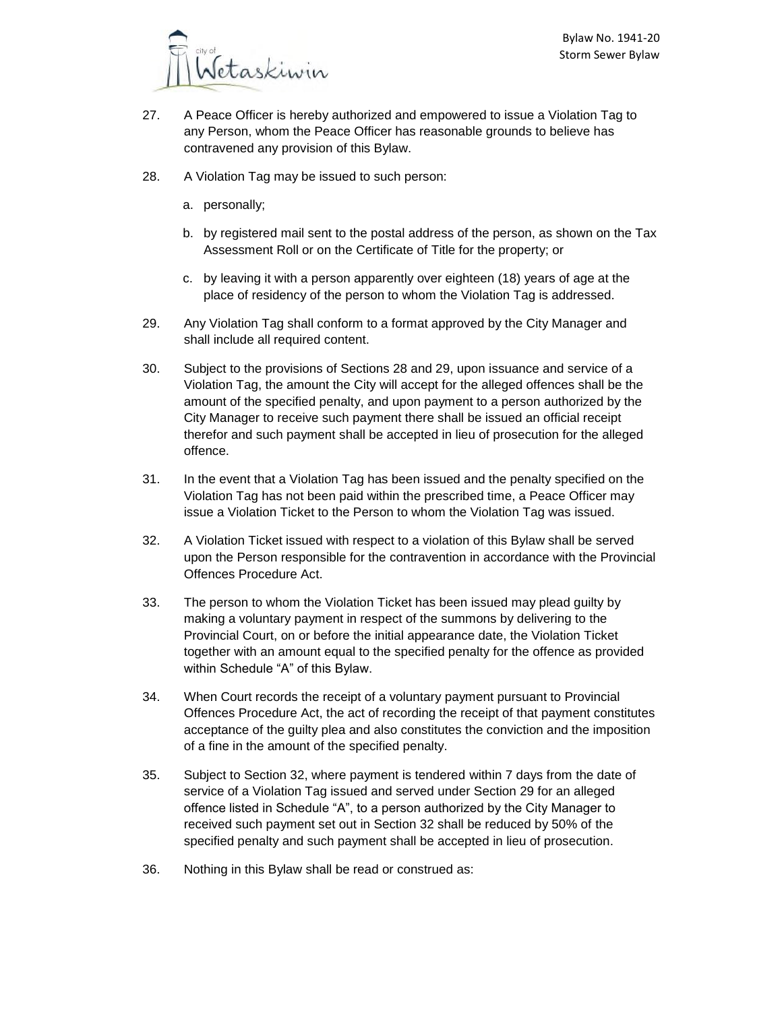

- 27. A Peace Officer is hereby authorized and empowered to issue a Violation Tag to any Person, whom the Peace Officer has reasonable grounds to believe has contravened any provision of this Bylaw.
- 28. A Violation Tag may be issued to such person:
	- a. personally;
	- b. by registered mail sent to the postal address of the person, as shown on the Tax Assessment Roll or on the Certificate of Title for the property; or
	- c. by leaving it with a person apparently over eighteen (18) years of age at the place of residency of the person to whom the Violation Tag is addressed.
- 29. Any Violation Tag shall conform to a format approved by the City Manager and shall include all required content.
- 30. Subject to the provisions of Sections 28 and 29, upon issuance and service of a Violation Tag, the amount the City will accept for the alleged offences shall be the amount of the specified penalty, and upon payment to a person authorized by the City Manager to receive such payment there shall be issued an official receipt therefor and such payment shall be accepted in lieu of prosecution for the alleged offence.
- 31. In the event that a Violation Tag has been issued and the penalty specified on the Violation Tag has not been paid within the prescribed time, a Peace Officer may issue a Violation Ticket to the Person to whom the Violation Tag was issued.
- 32. A Violation Ticket issued with respect to a violation of this Bylaw shall be served upon the Person responsible for the contravention in accordance with the Provincial Offences Procedure Act.
- 33. The person to whom the Violation Ticket has been issued may plead guilty by making a voluntary payment in respect of the summons by delivering to the Provincial Court, on or before the initial appearance date, the Violation Ticket together with an amount equal to the specified penalty for the offence as provided within Schedule "A" of this Bylaw.
- 34. When Court records the receipt of a voluntary payment pursuant to Provincial Offences Procedure Act, the act of recording the receipt of that payment constitutes acceptance of the guilty plea and also constitutes the conviction and the imposition of a fine in the amount of the specified penalty.
- 35. Subject to Section 32, where payment is tendered within 7 days from the date of service of a Violation Tag issued and served under Section 29 for an alleged offence listed in Schedule "A", to a person authorized by the City Manager to received such payment set out in Section 32 shall be reduced by 50% of the specified penalty and such payment shall be accepted in lieu of prosecution.
- 36. Nothing in this Bylaw shall be read or construed as: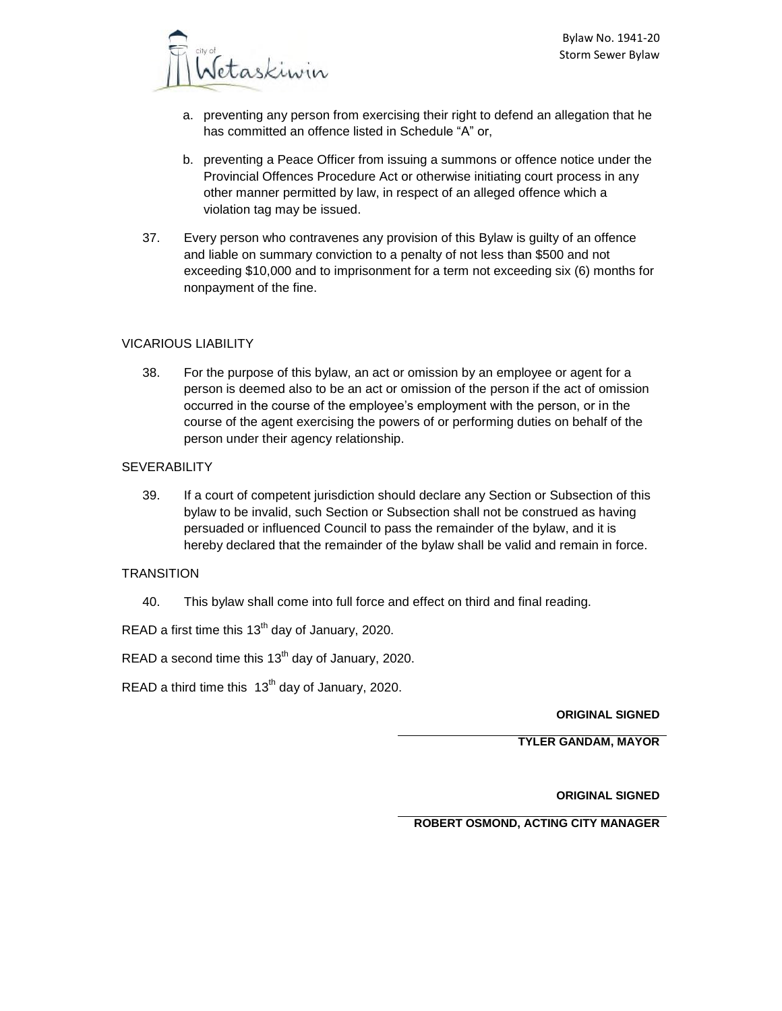

- a. preventing any person from exercising their right to defend an allegation that he has committed an offence listed in Schedule "A" or,
- b. preventing a Peace Officer from issuing a summons or offence notice under the Provincial Offences Procedure Act or otherwise initiating court process in any other manner permitted by law, in respect of an alleged offence which a violation tag may be issued.
- 37. Every person who contravenes any provision of this Bylaw is guilty of an offence and liable on summary conviction to a penalty of not less than \$500 and not exceeding \$10,000 and to imprisonment for a term not exceeding six (6) months for nonpayment of the fine.

## VICARIOUS LIABILITY

38. For the purpose of this bylaw, an act or omission by an employee or agent for a person is deemed also to be an act or omission of the person if the act of omission occurred in the course of the employee's employment with the person, or in the course of the agent exercising the powers of or performing duties on behalf of the person under their agency relationship.

## SEVERABILITY

39. If a court of competent jurisdiction should declare any Section or Subsection of this bylaw to be invalid, such Section or Subsection shall not be construed as having persuaded or influenced Council to pass the remainder of the bylaw, and it is hereby declared that the remainder of the bylaw shall be valid and remain in force.

## **TRANSITION**

40. This bylaw shall come into full force and effect on third and final reading.

READ a first time this  $13<sup>th</sup>$  day of January, 2020.

READ a second time this  $13<sup>th</sup>$  day of January, 2020.

READ a third time this  $13<sup>th</sup>$  day of January, 2020.

**ORIGINAL SIGNED**

**TYLER GANDAM, MAYOR**

**ORIGINAL SIGNED**

**ROBERT OSMOND, ACTING CITY MANAGER**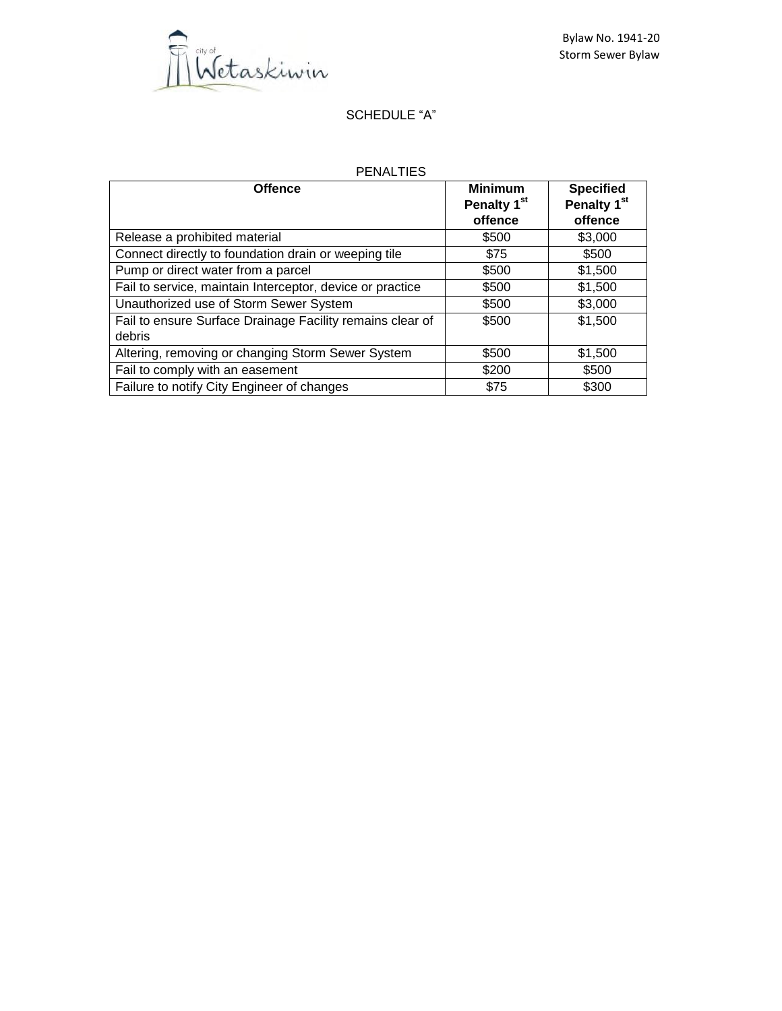

# SCHEDULE "A"

# PENALTIES

| <b>Offence</b>                                            | <b>Minimum</b><br>Penalty 1 <sup>st</sup> | <b>Specified</b><br>Penalty 1 <sup>st</sup> |  |
|-----------------------------------------------------------|-------------------------------------------|---------------------------------------------|--|
|                                                           | offence                                   | offence                                     |  |
| Release a prohibited material                             | \$500                                     | \$3,000                                     |  |
| Connect directly to foundation drain or weeping tile      | \$75                                      | \$500                                       |  |
| Pump or direct water from a parcel                        | \$500                                     | \$1,500                                     |  |
| Fail to service, maintain Interceptor, device or practice | \$500                                     | \$1,500                                     |  |
| Unauthorized use of Storm Sewer System                    | \$500                                     | \$3,000                                     |  |
| Fail to ensure Surface Drainage Facility remains clear of | \$500                                     | \$1,500                                     |  |
| debris                                                    |                                           |                                             |  |
| Altering, removing or changing Storm Sewer System         | \$500                                     | \$1,500                                     |  |
| Fail to comply with an easement                           | \$200                                     | \$500                                       |  |
| Failure to notify City Engineer of changes                | \$75                                      | \$300                                       |  |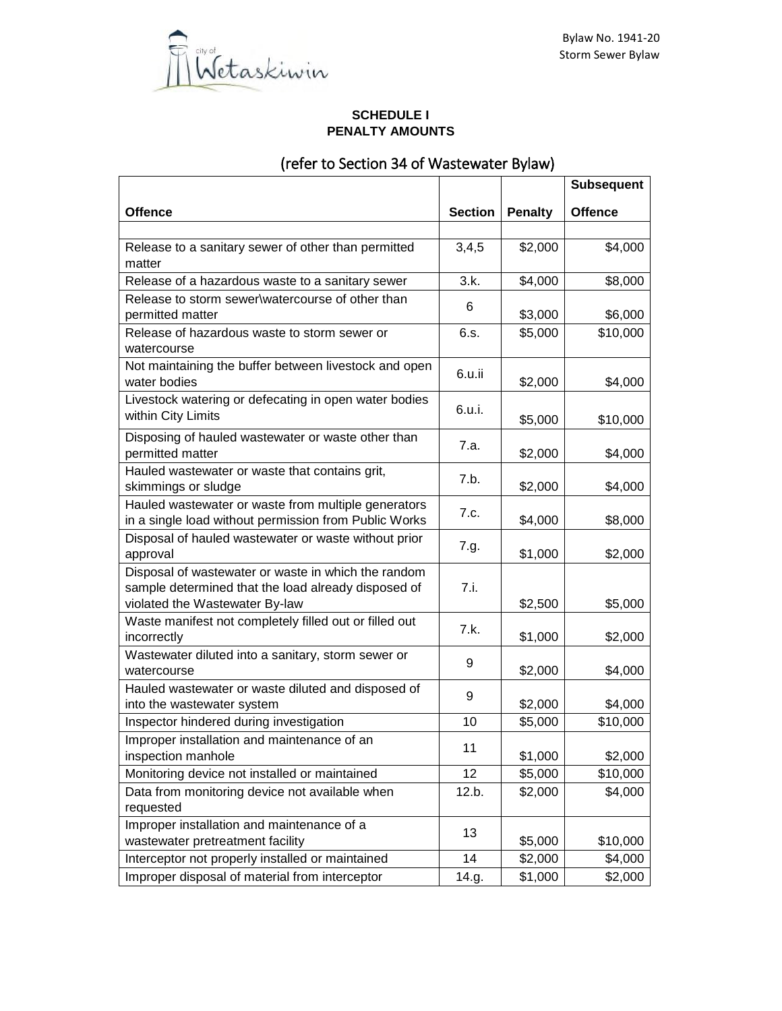

## **SCHEDULE I PENALTY AMOUNTS**

# (refer to Section 34 of Wastewater Bylaw)

|                                                                                                                                              |                |                | <b>Subsequent</b> |
|----------------------------------------------------------------------------------------------------------------------------------------------|----------------|----------------|-------------------|
| <b>Offence</b>                                                                                                                               | <b>Section</b> | <b>Penalty</b> | <b>Offence</b>    |
|                                                                                                                                              |                |                |                   |
| Release to a sanitary sewer of other than permitted<br>matter                                                                                | 3,4,5          | \$2,000        | \$4,000           |
| Release of a hazardous waste to a sanitary sewer                                                                                             | 3.k.           | \$4,000        | \$8,000           |
| Release to storm sewer\watercourse of other than<br>permitted matter                                                                         | 6              | \$3,000        | \$6,000           |
| Release of hazardous waste to storm sewer or<br>watercourse                                                                                  | 6.s.           | \$5,000        | \$10,000          |
| Not maintaining the buffer between livestock and open<br>water bodies                                                                        | 6.u.ii         | \$2,000        | \$4,000           |
| Livestock watering or defecating in open water bodies<br>within City Limits                                                                  | 6.u.i.         | \$5,000        | \$10,000          |
| Disposing of hauled wastewater or waste other than<br>permitted matter                                                                       | 7.a.           | \$2,000        | \$4,000           |
| Hauled wastewater or waste that contains grit,<br>skimmings or sludge                                                                        | 7.b.           | \$2,000        | \$4,000           |
| Hauled wastewater or waste from multiple generators<br>in a single load without permission from Public Works                                 | 7.c.           | \$4,000        | \$8,000           |
| Disposal of hauled wastewater or waste without prior<br>approval                                                                             | 7.g.           | \$1,000        | \$2,000           |
| Disposal of wastewater or waste in which the random<br>sample determined that the load already disposed of<br>violated the Wastewater By-law | 7.i.           | \$2,500        | \$5,000           |
| Waste manifest not completely filled out or filled out<br>incorrectly                                                                        | 7.k.           | \$1,000        | \$2,000           |
| Wastewater diluted into a sanitary, storm sewer or<br>watercourse                                                                            | 9              | \$2,000        | \$4,000           |
| Hauled wastewater or waste diluted and disposed of<br>into the wastewater system                                                             | 9              | \$2,000        | \$4,000           |
| Inspector hindered during investigation                                                                                                      | 10             | \$5,000        | \$10,000          |
| Improper installation and maintenance of an<br>inspection manhole                                                                            | 11             | \$1,000        | \$2,000           |
| Monitoring device not installed or maintained                                                                                                | 12             | \$5,000        | \$10,000          |
| Data from monitoring device not available when<br>requested                                                                                  | 12.b.          | \$2,000        | \$4,000           |
| Improper installation and maintenance of a<br>wastewater pretreatment facility                                                               | 13             | \$5,000        | \$10,000          |
| Interceptor not properly installed or maintained                                                                                             | 14             | \$2,000        | \$4,000           |
| Improper disposal of material from interceptor                                                                                               | 14.g.          | \$1,000        | \$2,000           |